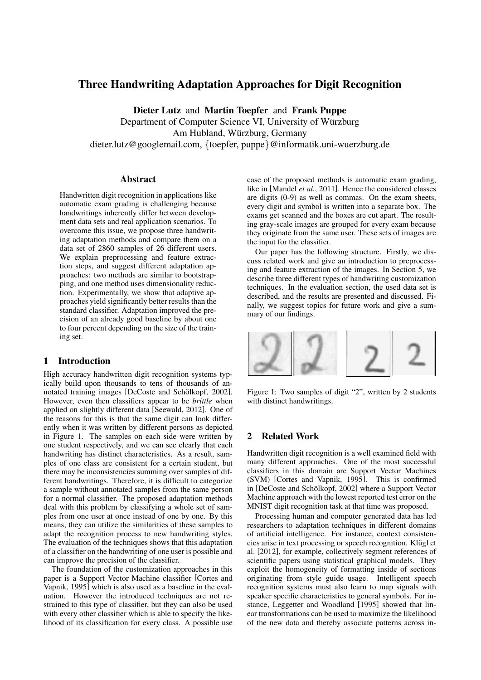# Three Handwriting Adaptation Approaches for Digit Recognition

Dieter Lutz and Martin Toepfer and Frank Puppe Department of Computer Science VI, University of Würzburg Am Hubland, Würzburg, Germany dieter.lutz@googlemail.com, {toepfer, puppe}@informatik.uni-wuerzburg.de

### Abstract

Handwritten digit recognition in applications like automatic exam grading is challenging because handwritings inherently differ between development data sets and real application scenarios. To overcome this issue, we propose three handwriting adaptation methods and compare them on a data set of 2860 samples of 26 different users. We explain preprocessing and feature extraction steps, and suggest different adaptation approaches: two methods are similar to bootstrapping, and one method uses dimensionality reduction. Experimentally, we show that adaptive approaches yield significantly better results than the standard classifier. Adaptation improved the precision of an already good baseline by about one to four percent depending on the size of the training set.

# 1 Introduction

High accuracy handwritten digit recognition systems typically build upon thousands to tens of thousands of annotated training images [DeCoste and Schölkopf, 2002]. However, even then classifiers appear to be *brittle* when applied on slightly different data [Seewald, 2012]. One of the reasons for this is that the same digit can look differently when it was written by different persons as depicted in Figure 1. The samples on each side were written by one student respectively, and we can see clearly that each handwriting has distinct characteristics. As a result, samples of one class are consistent for a certain student, but there may be inconsistencies summing over samples of different handwritings. Therefore, it is difficult to categorize a sample without annotated samples from the same person for a normal classifier. The proposed adaptation methods deal with this problem by classifying a whole set of samples from one user at once instead of one by one. By this means, they can utilize the similarities of these samples to adapt the recognition process to new handwriting styles. The evaluation of the techniques shows that this adaptation of a classifier on the handwriting of one user is possible and can improve the precision of the classifier.

The foundation of the customization approaches in this paper is a Support Vector Machine classifier [Cortes and Vapnik, 1995] which is also used as a baseline in the evaluation. However the introduced techniques are not restrained to this type of classifier, but they can also be used with every other classifier which is able to specify the likelihood of its classification for every class. A possible use case of the proposed methods is automatic exam grading, like in [Mandel *et al.*, 2011]. Hence the considered classes are digits (0-9) as well as commas. On the exam sheets, every digit and symbol is written into a separate box. The exams get scanned and the boxes are cut apart. The resulting gray-scale images are grouped for every exam because they originate from the same user. These sets of images are the input for the classifier.

Our paper has the following structure. Firstly, we discuss related work and give an introduction to preprocessing and feature extraction of the images. In Section 5, we describe three different types of handwriting customization techniques. In the evaluation section, the used data set is described, and the results are presented and discussed. Finally, we suggest topics for future work and give a summary of our findings.



Figure 1: Two samples of digit "2", written by 2 students with distinct handwritings.

# 2 Related Work

Handwritten digit recognition is a well examined field with many different approaches. One of the most successful classifiers in this domain are Support Vector Machines (SVM) [Cortes and Vapnik, 1995]. This is confirmed in [DeCoste and Schölkopf, 2002] where a Support Vector Machine approach with the lowest reported test error on the MNIST digit recognition task at that time was proposed.

Processing human and computer generated data has led researchers to adaptation techniques in different domains of artificial intelligence. For instance, context consistencies arise in text processing or speech recognition. Klügl et al. [2012], for example, collectively segment references of scientific papers using statistical graphical models. They exploit the homogeneity of formatting inside of sections originating from style guide usage. Intelligent speech recognition systems must also learn to map signals with speaker specific characteristics to general symbols. For instance, Leggetter and Woodland [1995] showed that linear transformations can be used to maximize the likelihood of the new data and thereby associate patterns across in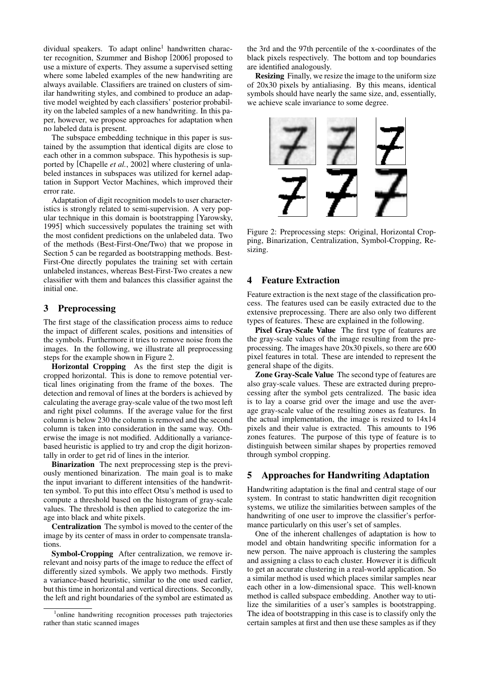dividual speakers. To adapt online<sup>1</sup> handwritten character recognition, Szummer and Bishop [2006] proposed to use a mixture of experts. They assume a supervised setting where some labeled examples of the new handwriting are always available. Classifiers are trained on clusters of similar handwriting styles, and combined to produce an adaptive model weighted by each classifiers' posterior probability on the labeled samples of a new handwriting. In this paper, however, we propose approaches for adaptation when no labeled data is present.

The subspace embedding technique in this paper is sustained by the assumption that identical digits are close to each other in a common subspace. This hypothesis is supported by [Chapelle *et al.*, 2002] where clustering of unlabeled instances in subspaces was utilized for kernel adaptation in Support Vector Machines, which improved their error rate.

Adaptation of digit recognition models to user characteristics is strongly related to semi-supervision. A very popular technique in this domain is bootstrapping [Yarowsky, 1995] which successively populates the training set with the most confident predictions on the unlabeled data. Two of the methods (Best-First-One/Two) that we propose in Section 5 can be regarded as bootstrapping methods. Best-First-One directly populates the training set with certain unlabeled instances, whereas Best-First-Two creates a new classifier with them and balances this classifier against the initial one.

#### 3 Preprocessing

The first stage of the classification process aims to reduce the impact of different scales, positions and intensities of the symbols. Furthermore it tries to remove noise from the images. In the following, we illustrate all preprocessing steps for the example shown in Figure 2.

Horizontal Cropping As the first step the digit is cropped horizontal. This is done to remove potential vertical lines originating from the frame of the boxes. The detection and removal of lines at the borders is achieved by calculating the average gray-scale value of the two most left and right pixel columns. If the average value for the first column is below 230 the column is removed and the second column is taken into consideration in the same way. Otherwise the image is not modified. Additionally a variancebased heuristic is applied to try and crop the digit horizontally in order to get rid of lines in the interior.

Binarization The next preprocessing step is the previously mentioned binarization. The main goal is to make the input invariant to different intensities of the handwritten symbol. To put this into effect Otsu's method is used to compute a threshold based on the histogram of gray-scale values. The threshold is then applied to categorize the image into black and white pixels.

Centralization The symbol is moved to the center of the image by its center of mass in order to compensate translations.

Symbol-Cropping After centralization, we remove irrelevant and noisy parts of the image to reduce the effect of differently sized symbols. We apply two methods. Firstly a variance-based heuristic, similar to the one used earlier, but this time in horizontal and vertical directions. Secondly, the left and right boundaries of the symbol are estimated as

the 3rd and the 97th percentile of the x-coordinates of the black pixels respectively. The bottom and top boundaries are identified analogously.

Resizing Finally, we resize the image to the uniform size of 20x30 pixels by antialiasing. By this means, identical symbols should have nearly the same size, and, essentially, we achieve scale invariance to some degree.



Figure 2: Preprocessing steps: Original, Horizontal Cropping, Binarization, Centralization, Symbol-Cropping, Resizing.

# 4 Feature Extraction

Feature extraction is the next stage of the classification process. The features used can be easily extracted due to the extensive preprocessing. There are also only two different types of features. These are explained in the following.

Pixel Gray-Scale Value The first type of features are the gray-scale values of the image resulting from the preprocessing. The images have 20x30 pixels, so there are 600 pixel features in total. These are intended to represent the general shape of the digits.

Zone Gray-Scale Value The second type of features are also gray-scale values. These are extracted during preprocessing after the symbol gets centralized. The basic idea is to lay a coarse grid over the image and use the average gray-scale value of the resulting zones as features. In the actual implementation, the image is resized to 14x14 pixels and their value is extracted. This amounts to 196 zones features. The purpose of this type of feature is to distinguish between similar shapes by properties removed through symbol cropping.

### 5 Approaches for Handwriting Adaptation

Handwriting adaptation is the final and central stage of our system. In contrast to static handwritten digit recognition systems, we utilize the similarities between samples of the handwriting of one user to improve the classifier's performance particularly on this user's set of samples.

One of the inherent challenges of adaptation is how to model and obtain handwriting specific information for a new person. The naive approach is clustering the samples and assigning a class to each cluster. However it is difficult to get an accurate clustering in a real-world application. So a similar method is used which places similar samples near each other in a low-dimensional space. This well-known method is called subspace embedding. Another way to utilize the similarities of a user's samples is bootstrapping. The idea of bootstrapping in this case is to classify only the certain samples at first and then use these samples as if they

<sup>&</sup>lt;sup>1</sup>online handwriting recognition processes path trajectories rather than static scanned images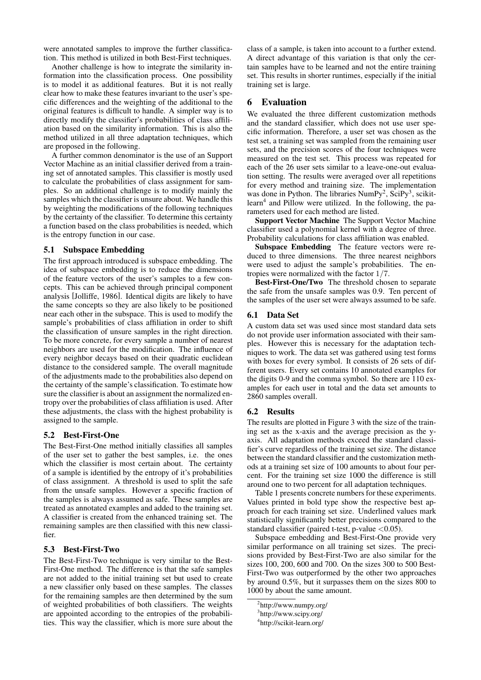were annotated samples to improve the further classification. This method is utilized in both Best-First techniques.

Another challenge is how to integrate the similarity information into the classification process. One possibility is to model it as additional features. But it is not really clear how to make these features invariant to the user's specific differences and the weighting of the additional to the original features is difficult to handle. A simpler way is to directly modify the classifier's probabilities of class affiliation based on the similarity information. This is also the method utilized in all three adaptation techniques, which are proposed in the following.

A further common denominator is the use of an Support Vector Machine as an initial classifier derived from a training set of annotated samples. This classifier is mostly used to calculate the probabilities of class assignment for samples. So an additional challenge is to modify mainly the samples which the classifier is unsure about. We handle this by weighting the modifications of the following techniques by the certainty of the classifier. To determine this certainty a function based on the class probabilities is needed, which is the entropy function in our case.

#### 5.1 Subspace Embedding

The first approach introduced is subspace embedding. The idea of subspace embedding is to reduce the dimensions of the feature vectors of the user's samples to a few concepts. This can be achieved through principal component analysis [Jolliffe, 1986]. Identical digits are likely to have the same concepts so they are also likely to be positioned near each other in the subspace. This is used to modify the sample's probabilities of class affiliation in order to shift the classification of unsure samples in the right direction. To be more concrete, for every sample a number of nearest neighbors are used for the modification. The influence of every neighbor decays based on their quadratic euclidean distance to the considered sample. The overall magnitude of the adjustments made to the probabilities also depend on the certainty of the sample's classification. To estimate how sure the classifier is about an assignment the normalized entropy over the probabilities of class affiliation is used. After these adjustments, the class with the highest probability is assigned to the sample.

#### 5.2 Best-First-One

The Best-First-One method initially classifies all samples of the user set to gather the best samples, i.e. the ones which the classifier is most certain about. The certainty of a sample is identified by the entropy of it's probabilities of class assignment. A threshold is used to split the safe from the unsafe samples. However a specific fraction of the samples is always assumed as safe. These samples are treated as annotated examples and added to the training set. A classifier is created from the enhanced training set. The remaining samples are then classified with this new classifier.

#### 5.3 Best-First-Two

The Best-First-Two technique is very similar to the Best-First-One method. The difference is that the safe samples are not added to the initial training set but used to create a new classifier only based on these samples. The classes for the remaining samples are then determined by the sum of weighted probabilities of both classifiers. The weights are appointed according to the entropies of the probabilities. This way the classifier, which is more sure about the class of a sample, is taken into account to a further extend. A direct advantage of this variation is that only the certain samples have to be learned and not the entire training set. This results in shorter runtimes, especially if the initial training set is large.

### 6 Evaluation

We evaluated the three different customization methods and the standard classifier, which does not use user specific information. Therefore, a user set was chosen as the test set, a training set was sampled from the remaining user sets, and the precision scores of the four techniques were measured on the test set. This process was repeated for each of the 26 user sets similar to a leave-one-out evaluation setting. The results were averaged over all repetitions for every method and training size. The implementation was done in Python. The libraries  $NumPy<sup>2</sup>$ ,  $SciPy<sup>3</sup>$ , scikitlearn<sup>4</sup> and Pillow were utilized. In the following, the parameters used for each method are listed.

Support Vector Machine The Support Vector Machine classifier used a polynomial kernel with a degree of three. Probability calculations for class affiliation was enabled.

Subspace Embedding The feature vectors were reduced to three dimensions. The three nearest neighbors were used to adjust the sample's probabilities. The entropies were normalized with the factor 1/7.

Best-First-One/Two The threshold chosen to separate the safe from the unsafe samples was 0.9. Ten percent of the samples of the user set were always assumed to be safe.

#### 6.1 Data Set

A custom data set was used since most standard data sets do not provide user information associated with their samples. However this is necessary for the adaptation techniques to work. The data set was gathered using test forms with boxes for every symbol. It consists of 26 sets of different users. Every set contains 10 annotated examples for the digits 0-9 and the comma symbol. So there are 110 examples for each user in total and the data set amounts to 2860 samples overall.

#### 6.2 Results

The results are plotted in Figure 3 with the size of the training set as the x-axis and the average precision as the yaxis. All adaptation methods exceed the standard classifier's curve regardless of the training set size. The distance between the standard classifier and the customization methods at a training set size of 100 amounts to about four percent. For the training set size 1000 the difference is still around one to two percent for all adaptation techniques.

Table 1 presents concrete numbers for these experiments. Values printed in bold type show the respective best approach for each training set size. Underlined values mark statistically significantly better precisions compared to the standard classifier (paired t-test, p-value <0.05).

Subspace embedding and Best-First-One provide very similar performance on all training set sizes. The precisions provided by Best-First-Two are also similar for the sizes 100, 200, 600 and 700. On the sizes 300 to 500 Best-First-Two was outperformed by the other two approaches by around 0.5%, but it surpasses them on the sizes 800 to 1000 by about the same amount.

<sup>&</sup>lt;sup>2</sup>http://www.numpy.org/

<sup>3</sup> http://www.scipy.org/

<sup>4</sup> http://scikit-learn.org/